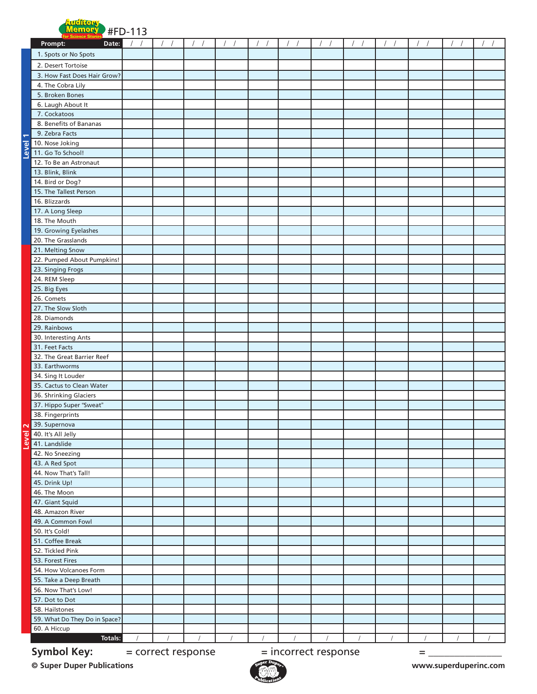

| Prompt:<br>Date:                                                      |  |  |          |          |            |  |          |            | $\sqrt{ }$ |          |  |
|-----------------------------------------------------------------------|--|--|----------|----------|------------|--|----------|------------|------------|----------|--|
| 1. Spots or No Spots                                                  |  |  |          |          |            |  |          |            |            |          |  |
| 2. Desert Tortoise                                                    |  |  |          |          |            |  |          |            |            |          |  |
| 3. How Fast Does Hair Grow?                                           |  |  |          |          |            |  |          |            |            |          |  |
| 4. The Cobra Lily                                                     |  |  |          |          |            |  |          |            |            |          |  |
| 5. Broken Bones                                                       |  |  |          |          |            |  |          |            |            |          |  |
| 6. Laugh About It                                                     |  |  |          |          |            |  |          |            |            |          |  |
| 7. Cockatoos                                                          |  |  |          |          |            |  |          |            |            |          |  |
| 8. Benefits of Bananas                                                |  |  |          |          |            |  |          |            |            |          |  |
| 9. Zebra Facts<br>÷                                                   |  |  |          |          |            |  |          |            |            |          |  |
| 10. Nose Joking<br>$\overline{\bullet}$                               |  |  |          |          |            |  |          |            |            |          |  |
| <u>vəl</u><br>11. Go To School!                                       |  |  |          |          |            |  |          |            |            |          |  |
| 12. To Be an Astronaut                                                |  |  |          |          |            |  |          |            |            |          |  |
| 13. Blink, Blink                                                      |  |  |          |          |            |  |          |            |            |          |  |
| 14. Bird or Dog?                                                      |  |  |          |          |            |  |          |            |            |          |  |
| 15. The Tallest Person                                                |  |  |          |          |            |  |          |            |            |          |  |
| 16. Blizzards                                                         |  |  |          |          |            |  |          |            |            |          |  |
| 17. A Long Sleep                                                      |  |  |          |          |            |  |          |            |            |          |  |
| 18. The Mouth                                                         |  |  |          |          |            |  |          |            |            |          |  |
| 19. Growing Eyelashes                                                 |  |  |          |          |            |  |          |            |            |          |  |
| 20. The Grasslands                                                    |  |  |          |          |            |  |          |            |            |          |  |
| 21. Melting Snow<br>22. Pumped About Pumpkins!                        |  |  |          |          |            |  |          |            |            |          |  |
| 23. Singing Frogs                                                     |  |  |          |          |            |  |          |            |            |          |  |
| 24. REM Sleep                                                         |  |  |          |          |            |  |          |            |            |          |  |
| 25. Big Eyes                                                          |  |  |          |          |            |  |          |            |            |          |  |
| 26. Comets                                                            |  |  |          |          |            |  |          |            |            |          |  |
| 27. The Slow Sloth                                                    |  |  |          |          |            |  |          |            |            |          |  |
| 28. Diamonds                                                          |  |  |          |          |            |  |          |            |            |          |  |
| 29. Rainbows                                                          |  |  |          |          |            |  |          |            |            |          |  |
| 30. Interesting Ants                                                  |  |  |          |          |            |  |          |            |            |          |  |
| 31. Feet Facts                                                        |  |  |          |          |            |  |          |            |            |          |  |
| 32. The Great Barrier Reef                                            |  |  |          |          |            |  |          |            |            |          |  |
| 33. Earthworms                                                        |  |  |          |          |            |  |          |            |            |          |  |
| 34. Sing It Louder                                                    |  |  |          |          |            |  |          |            |            |          |  |
| 35. Cactus to Clean Water                                             |  |  |          |          |            |  |          |            |            |          |  |
| 36. Shrinking Glaciers                                                |  |  |          |          |            |  |          |            |            |          |  |
| 37. Hippo Super "Sweat"                                               |  |  |          |          |            |  |          |            |            |          |  |
| 38. Fingerprints                                                      |  |  |          |          |            |  |          |            |            |          |  |
| 39. Supernova                                                         |  |  |          |          |            |  |          |            |            |          |  |
| 40. It's All Jelly<br>Φ                                               |  |  |          |          |            |  |          |            |            |          |  |
| <b>Ner</b><br>41. Landslide                                           |  |  |          |          |            |  |          |            |            |          |  |
| 42. No Sneezing                                                       |  |  |          |          |            |  |          |            |            |          |  |
| 43. A Red Spot<br>44. Now That's Tall!                                |  |  |          |          |            |  |          |            |            |          |  |
| 45. Drink Up!                                                         |  |  |          |          |            |  |          |            |            |          |  |
| 46. The Moon                                                          |  |  |          |          |            |  |          |            |            |          |  |
| 47. Giant Squid                                                       |  |  |          |          |            |  |          |            |            |          |  |
| 48. Amazon River                                                      |  |  |          |          |            |  |          |            |            |          |  |
| 49. A Common Fowl                                                     |  |  |          |          |            |  |          |            |            |          |  |
| 50. It's Cold!                                                        |  |  |          |          |            |  |          |            |            |          |  |
| 51. Coffee Break                                                      |  |  |          |          |            |  |          |            |            |          |  |
| 52. Tickled Pink                                                      |  |  |          |          |            |  |          |            |            |          |  |
| 53. Forest Fires                                                      |  |  |          |          |            |  |          |            |            |          |  |
| 54. How Volcanoes Form                                                |  |  |          |          |            |  |          |            |            |          |  |
| 55. Take a Deep Breath                                                |  |  |          |          |            |  |          |            |            |          |  |
| 56. Now That's Low!                                                   |  |  |          |          |            |  |          |            |            |          |  |
| 57. Dot to Dot                                                        |  |  |          |          |            |  |          |            |            |          |  |
| 58. Hailstones                                                        |  |  |          |          |            |  |          |            |            |          |  |
| 59. What Do They Do in Space?                                         |  |  |          |          |            |  |          |            |            |          |  |
| 60. A Hiccup                                                          |  |  |          |          |            |  |          |            |            |          |  |
| Totals:                                                               |  |  | $\prime$ | $\prime$ | $\sqrt{2}$ |  | $\prime$ | $\sqrt{ }$ |            | $\prime$ |  |
| <b>Symbol Key:</b><br>= correct response<br>= incorrect response<br>= |  |  |          |          |            |  |          |            |            |          |  |